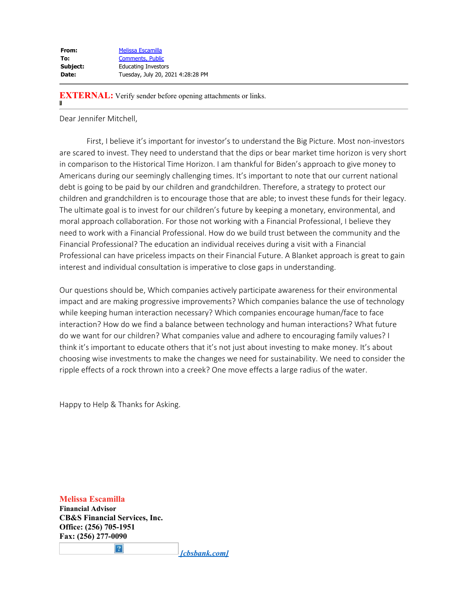| Melissa Escamilla                 |
|-----------------------------------|
| <b>Comments, Public</b>           |
| <b>Educating Investors</b>        |
| Tuesday, July 20, 2021 4:28:28 PM |
|                                   |

**EXTERNAL:** Verify sender before opening attachments or links.

Dear Jennifer Mitchell,

 First, I believe it's important for investor's to understand the Big Picture. Most non-investors are scared to invest. They need to understand that the dips or bear market time horizon is very short in comparison to the Historical Time Horizon. I am thankful for Biden's approach to give money to Americans during our seemingly challenging times. It's important to note that our current national debt is going to be paid by our children and grandchildren. Therefore, a strategy to protect our children and grandchildren is to encourage those that are able; to invest these funds for their legacy. The ultimate goal is to invest for our children's future by keeping a monetary, environmental, and moral approach collaboration. For those not working with a Financial Professional, I believe they need to work with a Financial Professional. How do we build trust between the community and the Financial Professional? The education an individual receives during a visit with a Financial Professional can have priceless impacts on their Financial Future. A Blanket approach is great to gain interest and individual consultation is imperative to close gaps in understanding.

Our questions should be, Which companies actively participate awareness for their environmental impact and are making progressive improvements? Which companies balance the use of technology while keeping human interaction necessary? Which companies encourage human/face to face interaction? How do we find a balance between technology and human interactions? What future do we want for our children? What companies value and adhere to encouraging family values? I think it's important to educate others that it's not just about investing to make money. It's about choosing wise investments to make the changes we need for sustainability. We need to consider the ripple effects of a rock thrown into a creek? One move effects a large radius of the water.

Happy to Help & Thanks for Asking.

**Melissa Escamilla Financial Advisor CB&S Financial Services, Inc. Office: (256) 705-1951 Fax: (256) 277-0090**

 $|2|$ 

 *[cbsbank.com]*